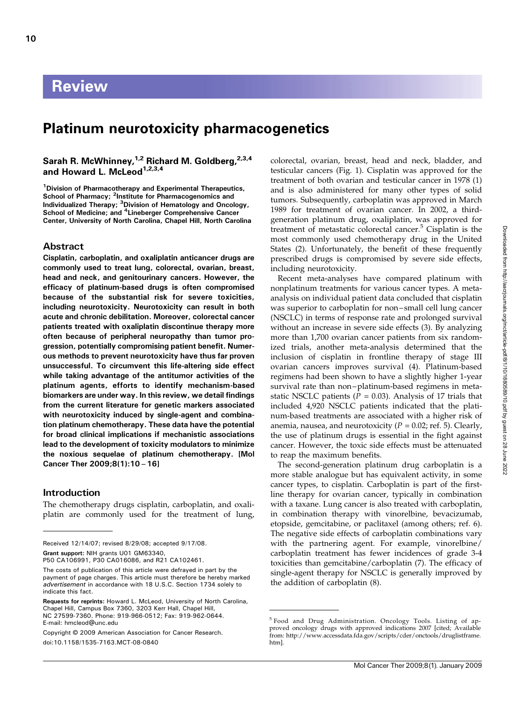# Platinum neurotoxicity pharmacogenetics

Sarah R. McWhinney, <sup>1,2</sup> Richard M. Goldberg, <sup>2,3,4</sup> and Howard L. McLeod<sup>1,2,3,4</sup>

<sup>1</sup> Division of Pharmacotherapy and Experimental Therapeutics, School of Pharmacy; <sup>2</sup>Institute for Pharmacogenomics and Individualized Therapy; <sup>3</sup>Division of Hematology and Oncology, School of Medicine; and <sup>4</sup>Lineberger Comprehensive Cancer Center, University of North Carolina, Chapel Hill, North Carolina

### Abstract

Cisplatin, carboplatin, and oxaliplatin anticancer drugs are commonly used to treat lung, colorectal, ovarian, breast, head and neck, and genitourinary cancers. However, the efficacy of platinum-based drugs is often compromised because of the substantial risk for severe toxicities, including neurotoxicity. Neurotoxicity can result in both acute and chronic debilitation. Moreover, colorectal cancer patients treated with oxaliplatin discontinue therapy more often because of peripheral neuropathy than tumor progression, potentially compromising patient benefit. Numerous methods to prevent neurotoxicity have thus far proven unsuccessful. To circumvent this life-altering side effect while taking advantage of the antitumor activities of the platinum agents, efforts to identify mechanism-based biomarkers are under way. In this review, we detail findings from the current literature for genetic markers associated with neurotoxicity induced by single-agent and combination platinum chemotherapy. These data have the potential for broad clinical implications if mechanistic associations lead to the development of toxicity modulators to minimize the noxious sequelae of platinum chemotherapy. [Mol Cancer Ther 2009;8(1):10–16]

#### Introduction

The chemotherapy drugs cisplatin, carboplatin, and oxaliplatin are commonly used for the treatment of lung,

colorectal, ovarian, breast, head and neck, bladder, and testicular cancers (Fig. 1). Cisplatin was approved for the treatment of both ovarian and testicular cancer in 1978 (1) and is also administered for many other types of solid tumors. Subsequently, carboplatin was approved in March 1989 for treatment of ovarian cancer. In 2002, a thirdgeneration platinum drug, oxaliplatin, was approved for treatment of metastatic colorectal cancer.<sup>5</sup> Cisplatin is the most commonly used chemotherapy drug in the United States (2). Unfortunately, the benefit of these frequently prescribed drugs is compromised by severe side effects, including neurotoxicity.

Recent meta-analyses have compared platinum with nonplatinum treatments for various cancer types. A metaanalysis on individual patient data concluded that cisplatin was superior to carboplatin for non – small cell lung cancer (NSCLC) in terms of response rate and prolonged survival without an increase in severe side effects (3). By analyzing more than 1,700 ovarian cancer patients from six randomized trials, another meta-analysis determined that the inclusion of cisplatin in frontline therapy of stage III ovarian cancers improves survival (4). Platinum-based regimens had been shown to have a slightly higher 1-year survival rate than non-platinum-based regimens in metastatic NSCLC patients ( $P = 0.03$ ). Analysis of 17 trials that included 4,920 NSCLC patients indicated that the platinum-based treatments are associated with a higher risk of anemia, nausea, and neurotoxicity ( $P = 0.02$ ; ref. 5). Clearly, the use of platinum drugs is essential in the fight against cancer. However, the toxic side effects must be attenuated to reap the maximum benefits.

The second-generation platinum drug carboplatin is a more stable analogue but has equivalent activity, in some cancer types, to cisplatin. Carboplatin is part of the firstline therapy for ovarian cancer, typically in combination with a taxane. Lung cancer is also treated with carboplatin, in combination therapy with vinorelbine, bevacizumab, etopside, gemcitabine, or paclitaxel (among others; ref. 6). The negative side effects of carboplatin combinations vary with the partnering agent. For example, vinorelbine/ carboplatin treatment has fewer incidences of grade 3-4 toxicities than gemcitabine/carboplatin (7). The efficacy of single-agent therapy for NSCLC is generally improved by the addition of carboplatin (8).

Received 12/14/07; revised 8/29/08; accepted 9/17/08. Grant support: NIH grants U01 GM63340,

P50 CA106991, P30 CA016086, and R21 CA102461.

The costs of publication of this article were defrayed in part by the payment of page charges. This article must therefore be hereby marked advertisement in accordance with 18 U.S.C. Section 1734 solely to indicate this fact.

Requests for reprints: Howard L. McLeod, University of North Carolina, Chapel Hill, Campus Box 7360, 3203 Kerr Hall, Chapel Hill, NC 27599-7360. Phone: 919-966-0512; Fax: 919-962-0644. E-mail: hmcleod@unc.edu

Copyright © 2009 American Association for Cancer Research. doi:10.1158/1535-7163.MCT-08-0840

<sup>5</sup> Food and Drug Administration. Oncology Tools. Listing of approved oncology drugs with approved indications 2007 [cited; Available from: http://www.accessdata.fda.gov/scripts/cder/onctools/druglistframe. htm].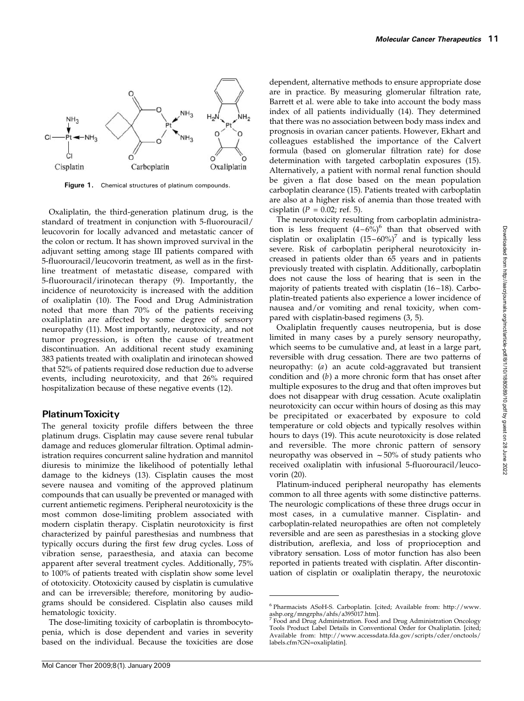

**Figure 1.** Chemical structures of platinum compounds.

Oxaliplatin, the third-generation platinum drug, is the standard of treatment in conjunction with 5-fluorouracil/ leucovorin for locally advanced and metastatic cancer of the colon or rectum. It has shown improved survival in the adjuvant setting among stage III patients compared with 5-fluorouracil/leucovorin treatment, as well as in the firstline treatment of metastatic disease, compared with 5-fluorouracil/irinotecan therapy (9). Importantly, the incidence of neurotoxicity is increased with the addition of oxaliplatin (10). The Food and Drug Administration noted that more than 70% of the patients receiving oxaliplatin are affected by some degree of sensory neuropathy (11). Most importantly, neurotoxicity, and not tumor progression, is often the cause of treatment discontinuation. An additional recent study examining 383 patients treated with oxaliplatin and irinotecan showed that 52% of patients required dose reduction due to adverse events, including neurotoxicity, and that 26% required hospitalization because of these negative events (12).

## PlatinumToxicity

The general toxicity profile differs between the three platinum drugs. Cisplatin may cause severe renal tubular damage and reduces glomerular filtration. Optimal administration requires concurrent saline hydration and mannitol diuresis to minimize the likelihood of potentially lethal damage to the kidneys (13). Cisplatin causes the most severe nausea and vomiting of the approved platinum compounds that can usually be prevented or managed with current antiemetic regimens. Peripheral neurotoxicity is the most common dose-limiting problem associated with modern cisplatin therapy. Cisplatin neurotoxicity is first characterized by painful paresthesias and numbness that typically occurs during the first fewdrug cycles. Loss of vibration sense, paraesthesia, and ataxia can become apparent after several treatment cycles. Additionally, 75% to 100% of patients treated with cisplatin show some level of ototoxicity. Ototoxicity caused by cisplatin is cumulative and can be irreversible; therefore, monitoring by audiograms should be considered. Cisplatin also causes mild hematologic toxicity.

The dose-limiting toxicity of carboplatin is thrombocytopenia, which is dose dependent and varies in severity based on the individual. Because the toxicities are dose

dependent, alternative methods to ensure appropriate dose are in practice. By measuring glomerular filtration rate, Barrett et al. were able to take into account the body mass index of all patients individually (14). They determined that there was no association between body mass index and prognosis in ovarian cancer patients. However, Ekhart and colleagues established the importance of the Calvert formula (based on glomerular filtration rate) for dose determination with targeted carboplatin exposures (15). Alternatively, a patient with normal renal function should be given a flat dose based on the mean population carboplatin clearance (15). Patients treated with carboplatin are also at a higher risk of anemia than those treated with cisplatin ( $P = 0.02$ ; ref. 5).

The neurotoxicity resulting from carboplatin administration is less frequent  $(4-6\%)^6$  than that observed with cisplatin or oxaliplatin  $(15-60\%)^7$  and is typically less severe. Risk of carboplatin peripheral neurotoxicity increased in patients older than 65 years and in patients previously treated with cisplatin. Additionally, carboplatin does not cause the loss of hearing that is seen in the majority of patients treated with cisplatin (16-18). Carboplatin-treated patients also experience a lower incidence of nausea and/or vomiting and renal toxicity, when compared with cisplatin-based regimens (3, 5).

Oxaliplatin frequently causes neutropenia, but is dose limited in many cases by a purely sensory neuropathy, which seems to be cumulative and, at least in a large part, reversible with drug cessation. There are two patterns of neuropathy: (a) an acute cold-aggravated but transient condition and  $(b)$  a more chronic form that has onset after multiple exposures to the drug and that often improves but does not disappear with drug cessation. Acute oxaliplatin neurotoxicity can occur within hours of dosing as this may be precipitated or exacerbated by exposure to cold temperature or cold objects and typically resolves within hours to days (19). This acute neurotoxicity is dose related and reversible. The more chronic pattern of sensory neuropathy was observed in  $\sim$  50% of study patients who received oxaliplatin with infusional 5-fluorouracil/leucovorin (20).

Platinum-induced peripheral neuropathy has elements common to all three agents with some distinctive patterns. The neurologic complications of these three drugs occur in most cases, in a cumulative manner. Cisplatin- and carboplatin-related neuropathies are often not completely reversible and are seen as paresthesias in a stocking glove distribution, areflexia, and loss of proprioception and vibratory sensation. Loss of motor function has also been reported in patients treated with cisplatin. After discontinuation of cisplatin or oxaliplatin therapy, the neurotoxic

<sup>6</sup> Pharmacists ASoH-S. Carboplatin. [cited; Available from: http://www.  $\frac{1}{7}$ ashp.org/mngrphs/ahfs/a395017.htm].

Food and Drug Administration. Food and Drug Administration Oncology Tools Product Label Details in Conventional Order for Oxaliplatin. [cited; Available from: http://www.accessdata.fda.gov/scripts/cder/onctools/ labels.cfm?GN=oxaliplatin].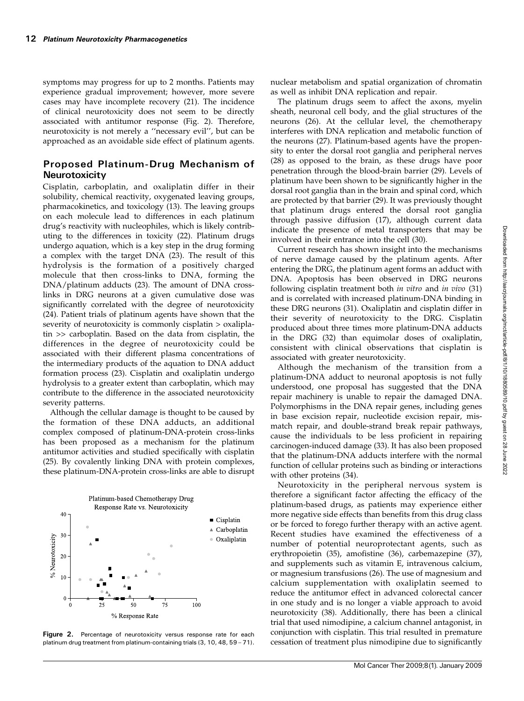symptoms may progress for up to 2 months. Patients may experience gradual improvement; however, more severe cases may have incomplete recovery (21). The incidence of clinical neurotoxicity does not seem to be directly associated with antitumor response (Fig. 2). Therefore, neurotoxicity is not merely a ''necessary evil'', but can be approached as an avoidable side effect of platinum agents.

## Proposed Platinum-Drug Mechanism of **Neurotoxicity**

Cisplatin, carboplatin, and oxaliplatin differ in their solubility, chemical reactivity, oxygenated leaving groups, pharmacokinetics, and toxicology (13). The leaving groups on each molecule lead to differences in each platinum drug's reactivity with nucleophiles, which is likely contributing to the differences in toxicity (22). Platinum drugs undergo aquation, which is a key step in the drug forming a complex with the target DNA (23). The result of this hydrolysis is the formation of a positively charged molecule that then cross-links to DNA, forming the DNA/platinum adducts (23). The amount of DNA crosslinks in DRG neurons at a given cumulative dose was significantly correlated with the degree of neurotoxicity (24). Patient trials of platinum agents have shown that the severity of neurotoxicity is commonly cisplatin  $>$  oxaliplatin >> carboplatin. Based on the data from cisplatin, the differences in the degree of neurotoxicity could be associated with their different plasma concentrations of the intermediary products of the aquation to DNA adduct formation process (23). Cisplatin and oxaliplatin undergo hydrolysis to a greater extent than carboplatin, which may contribute to the difference in the associated neurotoxicity severity patterns.

Although the cellular damage is thought to be caused by the formation of these DNA adducts, an additional complex composed of platinum-DNA-protein cross-links has been proposed as a mechanism for the platinum antitumor activities and studied specifically with cisplatin (25). By covalently linking DNA with protein complexes, these platinum-DNA-protein cross-links are able to disrupt



Figure 2. Percentage of neurotoxicity versus response rate for each platinum drug treatment from platinum-containing trials (3, 10, 48, 59 - 71).

nuclear metabolism and spatial organization of chromatin as well as inhibit DNA replication and repair.

The platinum drugs seem to affect the axons, myelin sheath, neuronal cell body, and the glial structures of the neurons (26). At the cellular level, the chemotherapy interferes with DNA replication and metabolic function of the neurons (27). Platinum-based agents have the propensity to enter the dorsal root ganglia and peripheral nerves (28) as opposed to the brain, as these drugs have poor penetration through the blood-brain barrier (29). Levels of platinum have been shown to be significantly higher in the dorsal root ganglia than in the brain and spinal cord, which are protected by that barrier (29). It was previously thought that platinum drugs entered the dorsal root ganglia through passive diffusion (17), although current data indicate the presence of metal transporters that may be involved in their entrance into the cell (30).

Current research has shown insight into the mechanisms of nerve damage caused by the platinum agents. After entering the DRG, the platinum agent forms an adduct with DNA. Apoptosis has been observed in DRG neurons following cisplatin treatment both in vitro and in vivo (31) and is correlated with increased platinum-DNA binding in these DRG neurons (31). Oxaliplatin and cisplatin differ in their severity of neurotoxicity to the DRG. Cisplatin produced about three times more platinum-DNA adducts in the DRG (32) than equimolar doses of oxaliplatin, consistent with clinical observations that cisplatin is associated with greater neurotoxicity.

Although the mechanism of the transition from a platinum-DNA adduct to neuronal apoptosis is not fully understood, one proposal has suggested that the DNA repair machinery is unable to repair the damaged DNA. Polymorphisms in the DNA repair genes, including genes in base excision repair, nucleotide excision repair, mismatch repair, and double-strand break repair pathways, cause the individuals to be less proficient in repairing carcinogen-induced damage (33). It has also been proposed that the platinum-DNA adducts interfere with the normal function of cellular proteins such as binding or interactions with other proteins (34).

Neurotoxicity in the peripheral nervous system is therefore a significant factor affecting the efficacy of the platinum-based drugs, as patients may experience either more negative side effects than benefits from this drug class or be forced to forego further therapy with an active agent. Recent studies have examined the effectiveness of a number of potential neuroprotectant agents, such as erythropoietin (35), amofistine (36), carbemazepine (37), and supplements such as vitamin E, intravenous calcium, or magnesium transfusions (26). The use of magnesium and calcium supplementation with oxaliplatin seemed to reduce the antitumor effect in advanced colorectal cancer in one study and is no longer a viable approach to avoid neurotoxicity (38). Additionally, there has been a clinical trial that used nimodipine, a calcium channel antagonist, in conjunction with cisplatin. This trial resulted in premature cessation of treatment plus nimodipine due to significantly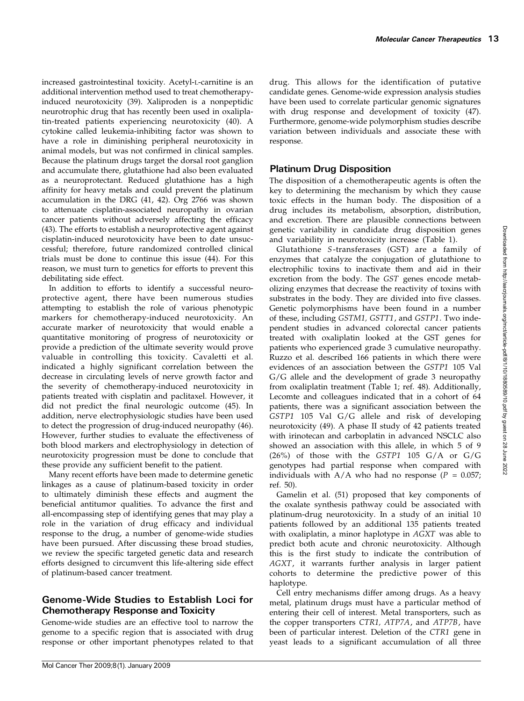increased gastrointestinal toxicity. Acetyl-L-carnitine is an additional intervention method used to treat chemotherapyinduced neurotoxicity (39). Xaliproden is a nonpeptidic neurotrophic drug that has recently been used in oxaliplatin-treated patients experiencing neurotoxicity (40). A cytokine called leukemia-inhibiting factor was shown to have a role in diminishing peripheral neurotoxicity in animal models, but was not confirmed in clinical samples. Because the platinum drugs target the dorsal root ganglion and accumulate there, glutathione had also been evaluated as a neuroprotectant. Reduced glutathione has a high affinity for heavy metals and could prevent the platinum accumulation in the DRG (41, 42). Org 2766 was shown to attenuate cisplatin-associated neuropathy in ovarian cancer patients without adversely affecting the efficacy (43). The efforts to establish a neuroprotective agent against cisplatin-induced neurotoxicity have been to date unsuccessful; therefore, future randomized controlled clinical trials must be done to continue this issue (44). For this reason, we must turn to genetics for efforts to prevent this debilitating side effect.

In addition to efforts to identify a successful neuroprotective agent, there have been numerous studies attempting to establish the role of various phenotypic markers for chemotherapy-induced neurotoxicity. An accurate marker of neurotoxicity that would enable a quantitative monitoring of progress of neurotoxicity or provide a prediction of the ultimate severity would prove valuable in controlling this toxicity. Cavaletti et al. indicated a highly significant correlation between the decrease in circulating levels of nerve growth factor and the severity of chemotherapy-induced neurotoxicity in patients treated with cisplatin and paclitaxel. However, it did not predict the final neurologic outcome (45). In addition, nerve electrophysiologic studies have been used to detect the progression of drug-induced neuropathy (46). However, further studies to evaluate the effectiveness of both blood markers and electrophysiology in detection of neurotoxicity progression must be done to conclude that these provide any sufficient benefit to the patient.

Many recent efforts have been made to determine genetic linkages as a cause of platinum-based toxicity in order to ultimately diminish these effects and augment the beneficial antitumor qualities. To advance the first and all-encompassing step of identifying genes that may play a role in the variation of drug efficacy and individual response to the drug, a number of genome-wide studies have been pursued. After discussing these broad studies, we review the specific targeted genetic data and research efforts designed to circumvent this life-altering side effect of platinum-based cancer treatment.

## Genome-Wide Studies to Establish Loci for Chemotherapy Response and Toxicity

Genome-wide studies are an effective tool to narrow the genome to a specific region that is associated with drug response or other important phenotypes related to that

drug. This allows for the identification of putative candidate genes. Genome-wide expression analysis studies have been used to correlate particular genomic signatures with drug response and development of toxicity (47). Furthermore, genome-wide polymorphism studies describe variation between individuals and associate these with response.

## Platinum Drug Disposition

The disposition of a chemotherapeutic agents is often the key to determining the mechanism by which they cause toxic effects in the human body. The disposition of a drug includes its metabolism, absorption, distribution, and excretion. There are plausible connections between genetic variability in candidate drug disposition genes and variability in neurotoxicity increase (Table 1).

Glutathione S-transferases (GST) are a family of enzymes that catalyze the conjugation of glutathione to electrophilic toxins to inactivate them and aid in their excretion from the body. The GST genes encode metabolizing enzymes that decrease the reactivity of toxins with substrates in the body. They are divided into five classes. Genetic polymorphisms have been found in a number of these, including GSTM1, GSTT1, and GSTP1. Two independent studies in advanced colorectal cancer patients treated with oxaliplatin looked at the GST genes for patients who experienced grade 3 cumulative neuropathy. Ruzzo et al. described 166 patients in which there were evidences of an association between the GSTP1 105 Val G/G allele and the development of grade 3 neuropathy from oxaliplatin treatment (Table 1; ref. 48). Additionally, Lecomte and colleagues indicated that in a cohort of 64 patients, there was a significant association between the GSTP1 105 Val G/G allele and risk of developing neurotoxicity (49). A phase II study of 42 patients treated with irinotecan and carboplatin in advanced NSCLC also showed an association with this allele, in which 5 of 9  $(26\%)$  of those with the GSTP1 105 G/A or G/G genotypes had partial response when compared with individuals with  $A/A$  who had no response ( $P = 0.057$ ; ref. 50).

Gamelin et al. (51) proposed that key components of the oxalate synthesis pathway could be associated with platinum-drug neurotoxicity. In a study of an initial 10 patients followed by an additional 135 patients treated with oxaliplatin, a minor haplotype in AGXT was able to predict both acute and chronic neurotoxicity. Although this is the first study to indicate the contribution of AGXT, it warrants further analysis in larger patient cohorts to determine the predictive power of this haplotype.

Cell entry mechanisms differ among drugs. As a heavy metal, platinum drugs must have a particular method of entering their cell of interest. Metal transporters, such as the copper transporters CTR1, ATP7A, and ATP7B, have been of particular interest. Deletion of the CTR1 gene in yeast leads to a significant accumulation of all three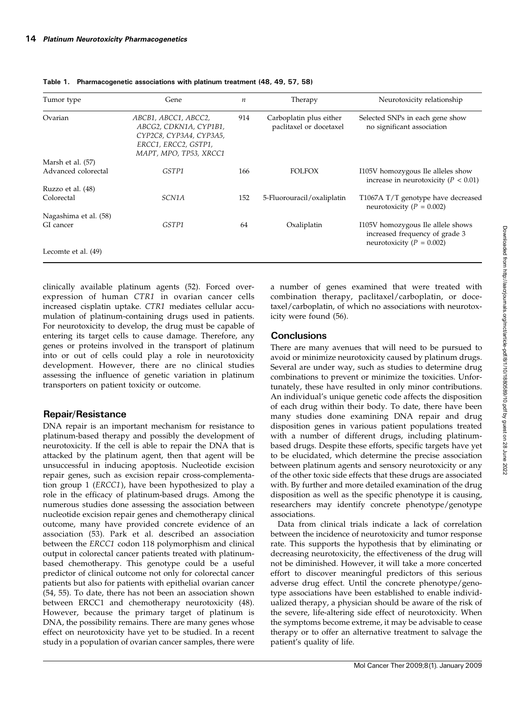| Tumor type            | Gene                                                                                                                        | $\boldsymbol{n}$ | Therapy                                            | Neurotoxicity relationship                                                                           |
|-----------------------|-----------------------------------------------------------------------------------------------------------------------------|------------------|----------------------------------------------------|------------------------------------------------------------------------------------------------------|
| Ovarian               | ABCB1, ABCC1, ABCC2,<br>ABCG2, CDKN1A, CYP1B1,<br>CYP2C8, CYP3A4, CYP3A5,<br>ERCC1, ERCC2, GSTP1,<br>MAPT, MPO, TP53, XRCC1 | 914              | Carboplatin plus either<br>paclitaxel or docetaxel | Selected SNPs in each gene show<br>no significant association                                        |
| Marsh et al. (57)     |                                                                                                                             |                  |                                                    |                                                                                                      |
| Advanced colorectal   | GSTP1                                                                                                                       | 166              | <b>FOLFOX</b>                                      | I105V homozygous Ile alleles show<br>increase in neurotoxicity ( $P < 0.01$ )                        |
| Ruzzo et al. (48)     |                                                                                                                             |                  |                                                    |                                                                                                      |
| Colorectal            | SCN1A                                                                                                                       | 152              | 5-Fluorouracil/oxaliplatin                         | T1067A T/T genotype have decreased<br>neurotoxicity ( $P = 0.002$ )                                  |
| Nagashima et al. (58) |                                                                                                                             |                  |                                                    |                                                                                                      |
| GI cancer             | GSTP1                                                                                                                       | 64               | Oxaliplatin                                        | I105V homozygous Ile allele shows<br>increased frequency of grade 3<br>neurotoxicity ( $P = 0.002$ ) |
| Lecomte et al. (49)   |                                                                                                                             |                  |                                                    |                                                                                                      |

Table 1. Pharmacogenetic associations with platinum treatment (48, 49, 57, 58)

clinically available platinum agents (52). Forced overexpression of human CTR1 in ovarian cancer cells increased cisplatin uptake. CTR1 mediates cellular accumulation of platinum-containing drugs used in patients. For neurotoxicity to develop, the drug must be capable of entering its target cells to cause damage. Therefore, any genes or proteins involved in the transport of platinum into or out of cells could play a role in neurotoxicity development. However, there are no clinical studies assessing the influence of genetic variation in platinum transporters on patient toxicity or outcome.

## Repair/Resistance

DNA repair is an important mechanism for resistance to platinum-based therapy and possibly the development of neurotoxicity. If the cell is able to repair the DNA that is attacked by the platinum agent, then that agent will be unsuccessful in inducing apoptosis. Nucleotide excision repair genes, such as excision repair cross-complementation group 1 (ERCC1), have been hypothesized to play a role in the efficacy of platinum-based drugs. Among the numerous studies done assessing the association between nucleotide excision repair genes and chemotherapy clinical outcome, many have provided concrete evidence of an association (53). Park et al. described an association between the ERCC1 codon 118 polymorphism and clinical output in colorectal cancer patients treated with platinumbased chemotherapy. This genotype could be a useful predictor of clinical outcome not only for colorectal cancer patients but also for patients with epithelial ovarian cancer (54, 55). To date, there has not been an association shown between ERCC1 and chemotherapy neurotoxicity (48). However, because the primary target of platinum is DNA, the possibility remains. There are many genes whose effect on neurotoxicity have yet to be studied. In a recent study in a population of ovarian cancer samples, there were a number of genes examined that were treated with combination therapy, paclitaxel/carboplatin, or docetaxel/carboplatin, of which no associations with neurotoxicity were found (56).

# **Conclusions**

There are many avenues that will need to be pursued to avoid or minimize neurotoxicity caused by platinum drugs. Several are under way, such as studies to determine drug combinations to prevent or minimize the toxicities. Unfortunately, these have resulted in only minor contributions. An individual's unique genetic code affects the disposition of each drug within their body. To date, there have been many studies done examining DNA repair and drug disposition genes in various patient populations treated with a number of different drugs, including platinumbased drugs. Despite these efforts, specific targets have yet to be elucidated, which determine the precise association between platinum agents and sensory neurotoxicity or any of the other toxic side effects that these drugs are associated with. By further and more detailed examination of the drug disposition as well as the specific phenotype it is causing, researchers may identify concrete phenotype/genotype associations.

Data from clinical trials indicate a lack of correlation between the incidence of neurotoxicity and tumor response rate. This supports the hypothesis that by eliminating or decreasing neurotoxicity, the effectiveness of the drug will not be diminished. However, it will take a more concerted effort to discover meaningful predictors of this serious adverse drug effect. Until the concrete phenotype/genotype associations have been established to enable individualized therapy, a physician should be aware of the risk of the severe, life-altering side effect of neurotoxicity. When the symptoms become extreme, it may be advisable to cease therapy or to offer an alternative treatment to salvage the patient's quality of life.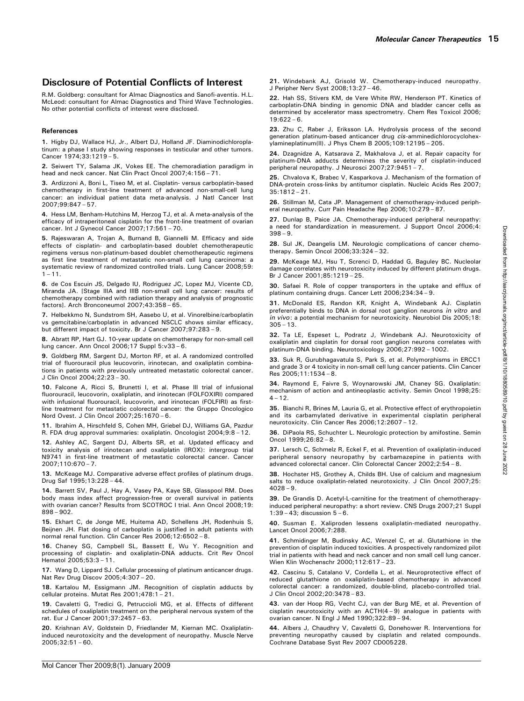## Disclosure of Potential Conflicts of Interest

R.M. Goldberg: consultant for Almac Diagnostics and Sanofi-aventis. H.L. McLeod: consultant for Almac Diagnostics and Third Wave Technologies. No other potential conflicts of interest were disclosed.

#### References

1. Higby DJ, Wallace HJ, Jr., Albert DJ, Holland JF. Diaminodichloroplatinum: a phase I study showing responses in testicular and other tumors. Cancer 1974;33:1219 – 5.

2. Seiwert TY, Salama JK, Vokes EE. The chemoradiation paradigm in head and neck cancer. Nat Clin Pract Oncol 2007;4:156 – 71.

3. Ardizzoni A, Boni L, Tiseo M, et al. Cisplatin- versus carboplatin-based chemotherapy in first-line treatment of advanced non-small-cell lung cancer: an individual patient data meta-analysis. J Natl Cancer Inst 2007;99:847 – 57.

4. Hess LM, Benham-Hutchins M, Herzog TJ, et al. A meta-analysis of the efficacy of intraperitoneal cisplatin for the front-line treatment of ovarian cancer. Int J Gynecol Cancer 2007;17:561 – 70.

5. Rajeswaran A, Trojan A, Burnand B, Giannelli M. Efficacy and side effects of cisplatin- and carboplatin-based doublet chemotherapeutic regimens versus non-platinum-based doublet chemotherapeutic regimens as first line treatment of metastatic non-small cell lung carcinoma: a systematic review of randomized controlled trials. Lung Cancer 2008;59:  $1 - 11$ 

6. de Cos Escuin JS, Delgado IU, Rodriguez JC, Lopez MJ, Vicente CD, Miranda JA. [Stage IIIA and IIIB non-small cell lung cancer: results of chemotherapy combined with radiation therapy and analysis of prognostic factors]. Arch Bronconeumol 2007;43:358 – 65.

7. Helbekkmo N, Sundstrom SH, Aasebo U, et al. Vinorelbine/carboplatin vs gemcitabine/carboplatin in advanced NSCLC shows similar efficacy, but different impact of toxicity. Br J Cancer 2007;97:283 – 9.

8. Abratt RP, Hart GJ. 10-year update on chemotherapy for non-small cell lung cancer. Ann Oncol 2006;17 Suppl 5:v33 – 6.

9. Goldberg RM, Sargent DJ, Morton RF, et al. A randomized controlled trial of fluorouracil plus leucovorin, irinotecan, and oxaliplatin combinations in patients with previously untreated metastatic colorectal cancer. J Clin Oncol 2004;22:23 – 30.

10. Falcone A, Ricci S, Brunetti I, et al. Phase III trial of infusional fluorouracil, leucovorin, oxaliplatin, and irinotecan (FOLFOXIRI) compared with infusional fluorouracil, leucovorin, and irinotecan (FOLFIRI) as firstline treatment for metastatic colorectal cancer: the Gruppo Oncologico Nord Ovest. J Clin Oncol 2007;25:1670 – 6.

11. Ibrahim A, Hirschfeld S, Cohen MH, Griebel DJ, Williams GA, Pazdur R. FDA drug approval summaries: oxaliplatin. Oncologist 2004;9:8 – 12.

12. Ashley AC, Sargent DJ, Alberts SR, et al. Updated efficacv and toxicity analysis of irinotecan and oxaliplatin (IROX): intergroup trial N9741 in first-line treatment of metastatic colorectal cancer. Cancer 2007;110:670 – 7.

13. McKeage MJ. Comparative adverse effect profiles of platinum drugs. Drug Saf 1995;13:228 – 44.

14. Barrett SV, Paul J, Hay A, Vasey PA, Kaye SB, Glasspool RM. Does body mass index affect progression-free or overall survival in patients with ovarian cancer? Results from SCOTROC I trial. Ann Oncol 2008;19: 898 – 902.

15. Ekhart C, de Jonge ME, Huitema AD, Schellens JH, Rodenhuis S, Beijnen JH. Flat dosing of carboplatin is justified in adult patients with normal renal function. Clin Cancer Res 2006;12:6502 – 8.

16. Chaney SG, Campbell SL, Bassett E, Wu Y. Recognition and processing of cisplatin- and oxaliplatin-DNA adducts. Crit Rev Oncol Hematol 2005;53:3 – 11.

17. Wang D, Lippard SJ. Cellular processing of platinum anticancer drugs. Nat Rev Drug Discov 2005;4:307 – 20.

18. Kartalou M, Essigmann JM. Recognition of cisplatin adducts by cellular proteins. Mutat Res 2001;478:1 – 21.

19. Cavaletti G, Tredici G, Petruccioli MG, et al. Effects of different schedules of oxaliplatin treatment on the peripheral nervous system of the rat. Eur J Cancer 2001;37:2457 – 63.

20. Krishnan AV, Goldstein D, Friedlander M, Kiernan MC. Oxaliplatininduced neurotoxicity and the development of neuropathy. Muscle Nerve 2005;32:51 – 60.

21. Windebank AJ, Grisold W. Chemotherapy-induced neuropathy. J Peripher Nerv Syst 2008;13:27 – 46.

22. Hah SS, Stivers KM, de Vere White RW, Henderson PT. Kinetics of carboplatin-DNA binding in genomic DNA and bladder cancer cells as determined by accelerator mass spectrometry. Chem Res Toxicol 2006;  $19:622 - 6$ .

23. Zhu C, Raber J, Eriksson LA. Hydrolysis process of the second generation platinum-based anticancer drug cis-amminedichlorocyclohexylamineplatinum(II). J Phys Chem B 2005;109:12195 – 205.

24. Dzagnidze A, Katsarava Z, Makhalova J, et al. Repair capacity for platinum-DNA adducts determines the severity of cisplatin-induced peripheral neuropathy. J Neurosci 2007;27:9451 – 7.

25. Chvalova K, Brabec V, Kasparkova J. Mechanism of the formation of DNA-protein cross-links by antitumor cisplatin. Nucleic Acids Res 2007; 35:1812 – 21.

26. Stillman M, Cata JP. Management of chemotherapy-induced peripheral neuropathy. Curr Pain Headache Rep 2006;10:279 – 87.

27. Dunlap B, Paice JA. Chemotherapy-induced peripheral neuropathy: a need for standardization in measurement. J Support Oncol 2006;4: 398 – 9.

28. Sul JK, Deangelis LM. Neurologic complications of cancer chemotherapy. Semin Oncol 2006;33:324 – 32.

29. McKeage MJ, Hsu T, Screnci D, Haddad G, Baguley BC. Nucleolar damage correlates with neurotoxicity induced by different platinum drugs. Br J Cancer 2001;85:1219 – 25.

30. Safaei R. Role of copper transporters in the uptake and efflux of platinum containing drugs. Cancer Lett 2006;234:34 – 9.

31. McDonald ES, Randon KR, Knight A, Windebank AJ. Cisplatin preferentially binds to DNA in dorsal root ganglion neurons in vitro and in vivo: a potential mechanism for neurotoxicity. Neurobiol Dis 2005;18:  $305 - 13$ .

32. Ta LE, Espeset L, Podratz J, Windebank AJ. Neurotoxicity of oxaliplatin and cisplatin for dorsal root ganglion neurons correlates with platinum-DNA binding. Neurotoxicology 2006;27:992 – 1002.

33. Suk R, Gurubhagavatula S, Park S, et al. Polymorphisms in ERCC1 and grade 3 or 4 toxicity in non-small cell lung cancer patients. Clin Cancer Res 2005;11:1534 – 8.

34. Raymond E, Faivre S, Woynarowski JM, Chaney SG. Oxaliplatin: mechanism of action and antineoplastic activity. Semin Oncol 1998;25:  $4 - 12$ .

35. Bianchi R, Brines M, Lauria G, et al. Protective effect of erythropoietin and its carbamylated derivative in experimental cisplatin peripheral neurotoxicity. Clin Cancer Res 2006;12:2607 – 12.

36. DiPaola RS, Schuchter L. Neurologic protection by amifostine. Semin Oncol 1999;26:82 – 8.

37. Lersch C, Schmelz R, Eckel F, et al. Prevention of oxaliplatin-induced peripheral sensory neuropathy by carbamazepine in patients with advanced colorectal cancer. Clin Colorectal Cancer 2002;2:54 – 8.

38. Hochster HS, Grothey A, Childs BH. Use of calcium and magnesium salts to reduce oxaliplatin-related neurotoxicity. J Clin Oncol 2007;25:  $4028 - 9.$ 

39. De Grandis D. Acetyl-L-carnitine for the treatment of chemotherapyinduced peripheral neuropathy: a short review. CNS Drugs 2007;21 Suppl 1:39 – 43; discussion 5 – 6.

40. Susman E. Xaliproden lessens oxaliplatin-mediated neuropathy. Lancet Oncol 2006;7:288.

41. Schmidinger M, Budinsky AC, Wenzel C, et al. Glutathione in the prevention of cisplatin induced toxicities. A prospectively randomized pilot trial in patients with head and neck cancer and non small cell lung cancer. Wien Klin Wochenschr 2000;112:617 – 23.

42. Cascinu S, Catalano V, Cordella L, et al. Neuroprotective effect of reduced glutathione on oxaliplatin-based chemotherapy in advanced colorectal cancer: a randomized, double-blind, placebo-controlled trial. J Clin Oncol 2002;20:3478 – 83.

43. van der Hoop RG, Vecht CJ, van der Burg ME, et al. Prevention of cisplatin neurotoxicity with an ACTH(4 – 9) analogue in patients with ovarian cancer. N Engl J Med 1990;322:89 – 94.

44. Albers J, Chaudhry V, Cavaletti G, Donehower R. Interventions for preventing neuropathy caused by cisplatin and related compounds. Cochrane Database Syst Rev 2007 CD005228.